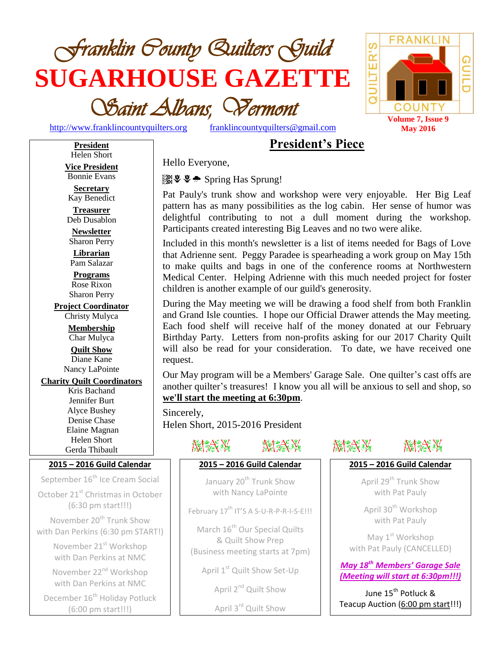



[http://www.franklincountyquilters.org](http://www.franklincountyquilters.org/) [franklincountyquilters@gmail.com](mailto:franklincountyquilters@gmail.com)

# **President's Piece**

**President** Helen Short **Vice President** Bonnie Evans

**Secretary** Kay Benedict

**Treasurer** Deb Dusablon

**Newsletter** Sharon Perry

**Librarian** Pam Salazar **Programs**

Rose Rixon Sharon Perry

**Project Coordinator**

Christy Mulyca **Membership** Char Mulyca **Quilt Show** Diane Kane

Nancy LaPointe

**Charity Quilt Coordinators**

Kris Bachand Jennifer Burt Alyce Bushey Denise Chase Elaine Magnan Helen Short Gerda Thibault

### **2015 – 2016 Guild Calendar**

September 16<sup>th</sup> Ice Cream Social

October 21<sup>st</sup> Christmas in October (6:30 pm start!!!)

November 20<sup>th</sup> Trunk Show with Dan Perkins (6:30 pm START!)

> November 21<sup>st</sup> Workshop with Dan Perkins at NMC

November 22<sup>nd</sup> Workshop with Dan Perkins at NMC

December 16<sup>th</sup> Holiday Potluck (6:00 pm start!!!)

Hello Everyone,

Spring Has Sprung!

Pat Pauly's trunk show and workshop were very enjoyable. Her Big Leaf pattern has as many possibilities as the log cabin. Her sense of humor was delightful contributing to not a dull moment during the workshop. Participants created interesting Big Leaves and no two were alike.

Included in this month's newsletter is a list of items needed for Bags of Love that Adrienne sent. Peggy Paradee is spearheading a work group on May 15th to make quilts and bags in one of the conference rooms at Northwestern Medical Center. Helping Adrienne with this much needed project for foster children is another example of our guild's generosity.

During the May meeting we will be drawing a food shelf from both Franklin and Grand Isle counties. I hope our Official Drawer attends the May meeting. Each food shelf will receive half of the money donated at our February Birthday Party. Letters from non-profits asking for our 2017 Charity Quilt will also be read for your consideration. To date, we have received one request.

Our May program will be a Members' Garage Sale. One quilter's cast offs are another quilter's treasures! I know you all will be anxious to sell and shop, so **we'll start the meeting at 6:30pm**.

Sincerely, Helen Short, 2015-2016 President



February 17<sup>th</sup> IT'S A S-U-R-P-R-I-S-E!!!

March 16<sup>th</sup> Our Special Quilts & Quilt Show Prep (Business meeting starts at 7pm)

April 1<sup>st</sup> Quilt Show Set-Up

April 2<sup>nd</sup> Quilt Show

April 3rd Quilt Show



# NAZX XX

### **2015 – 2016 Guild Calendar**

April 29<sup>th</sup> Trunk Show with Pat Pauly

April 30<sup>th</sup> Workshop with Pat Pauly

May 1<sup>st</sup> Workshop with Pat Pauly (CANCELLED)

*May 18th Members' Garage Sale (Meeting will start at 6:30pm!!!)*

June 15<sup>th</sup> Potluck <mark>&</mark> Teacup Auction (6:00 pm start!!!)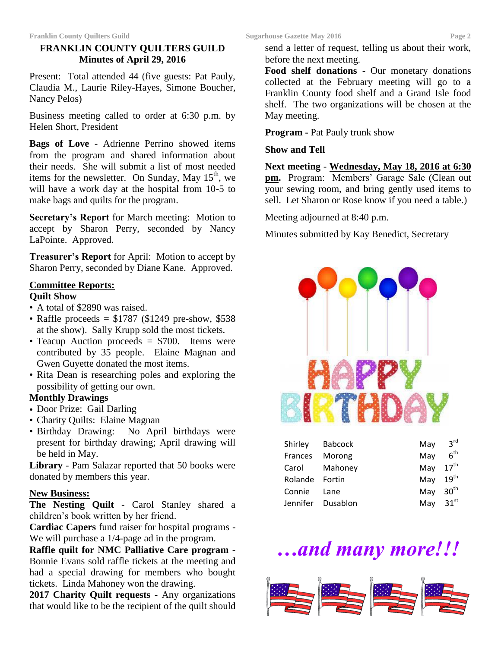### **FRANKLIN COUNTY QUILTERS GUILD Minutes of April 29, 2016**

Present: Total attended 44 (five guests: Pat Pauly, Claudia M., Laurie Riley-Hayes, Simone Boucher, Nancy Pelos)

Business meeting called to order at 6:30 p.m. by Helen Short, President

**Bags of Love** - Adrienne Perrino showed items from the program and shared information about their needs. She will submit a list of most needed items for the newsletter. On Sunday, May  $15<sup>th</sup>$ , we will have a work day at the hospital from 10-5 to make bags and quilts for the program.

**Secretary's Report** for March meeting: Motion to accept by Sharon Perry, seconded by Nancy LaPointe. Approved.

**Treasurer's Report** for April: Motion to accept by Sharon Perry, seconded by Diane Kane. Approved.

### **Committee Reports:**

### **Quilt Show**

- A total of \$2890 was raised.
- Raffle proceeds =  $$1787$  (\$1249 pre-show, \$538) at the show). Sally Krupp sold the most tickets.
- Teacup Auction proceeds = \$700. Items were contributed by 35 people. Elaine Magnan and Gwen Guyette donated the most items.
- Rita Dean is researching poles and exploring the possibility of getting our own.

### **Monthly Drawings**

- Door Prize: Gail Darling
- Charity Quilts: Elaine Magnan
- Birthday Drawing: No April birthdays were present for birthday drawing; April drawing will be held in May.

**Library** - Pam Salazar reported that 50 books were donated by members this year.

### **New Business:**

**The Nesting Quilt** - Carol Stanley shared a children's book written by her friend.

**Cardiac Capers** fund raiser for hospital programs - We will purchase a 1/4-page ad in the program.

**Raffle quilt for NMC Palliative Care program** - Bonnie Evans sold raffle tickets at the meeting and had a special drawing for members who bought tickets. Linda Mahoney won the drawing.

**2017 Charity Quilt requests** - Any organizations that would like to be the recipient of the quilt should send a letter of request, telling us about their work, before the next meeting.

**Food shelf donations** - Our monetary donations collected at the February meeting will go to a Franklin County food shelf and a Grand Isle food shelf. The two organizations will be chosen at the May meeting.

**Program -** Pat Pauly trunk show

### **Show and Tell**

**Next meeting** - **Wednesday, May 18, 2016 at 6:30 pm.** Program: Members' Garage Sale (Clean out your sewing room, and bring gently used items to sell. Let Sharon or Rose know if you need a table.)

Meeting adjourned at 8:40 p.m.

Minutes submitted by Kay Benedict, Secretary



|                | Shirley Babcock   | May $3^{\text{rd}}$  |                 |
|----------------|-------------------|----------------------|-----------------|
| Frances Morong |                   | May                  | 6 <sup>th</sup> |
|                | Carol Mahoney     | May $17th$           |                 |
| Rolande Fortin |                   | May 19 <sup>th</sup> |                 |
| Connie Lane    |                   | May $30th$           |                 |
|                | Jennifer Dusablon | May $31st$           |                 |

# *…and many more!!!*

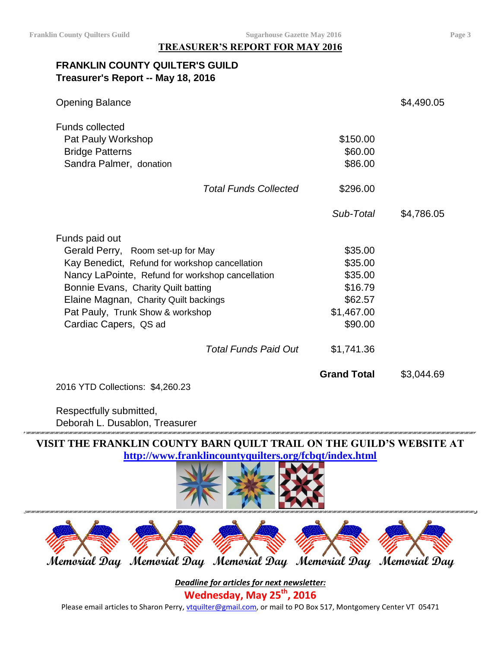**TREASURER'S REPORT FOR MAY 2016**

# **FRANKLIN COUNTY QUILTER'S GUILD Treasurer's Report -- May 18, 2016**

| <b>Opening Balance</b>                                                                                                                                                                                                                                                                                 |                              |                                                                                            | \$4,490.05 |
|--------------------------------------------------------------------------------------------------------------------------------------------------------------------------------------------------------------------------------------------------------------------------------------------------------|------------------------------|--------------------------------------------------------------------------------------------|------------|
| <b>Funds collected</b><br>Pat Pauly Workshop<br><b>Bridge Patterns</b><br>Sandra Palmer, donation                                                                                                                                                                                                      |                              | \$150.00<br>\$60.00<br>\$86.00                                                             |            |
|                                                                                                                                                                                                                                                                                                        | <b>Total Funds Collected</b> | \$296.00                                                                                   |            |
|                                                                                                                                                                                                                                                                                                        |                              | Sub-Total                                                                                  | \$4,786.05 |
| Funds paid out<br>Gerald Perry, Room set-up for May<br>Kay Benedict, Refund for workshop cancellation<br>Nancy LaPointe, Refund for workshop cancellation<br>Bonnie Evans, Charity Quilt batting<br>Elaine Magnan, Charity Quilt backings<br>Pat Pauly, Trunk Show & workshop<br>Cardiac Capers, QS ad | <b>Total Funds Paid Out</b>  | \$35.00<br>\$35.00<br>\$35.00<br>\$16.79<br>\$62.57<br>\$1,467.00<br>\$90.00<br>\$1,741.36 |            |
|                                                                                                                                                                                                                                                                                                        |                              | <b>Grand Total</b>                                                                         | \$3,044.69 |
| 2016 YTD Collections: \$4,260.23                                                                                                                                                                                                                                                                       |                              |                                                                                            |            |

Respectfully submitted, Deborah L. Dusablon, Treasurer

**VISIT THE FRANKLIN COUNTY BARN QUILT TRAIL ON THE GUILD'S WEBSITE AT <http://www.franklincountyquilters.org/fcbqt/index.html>**





*Deadline for articles for next newsletter:* **Wednesday, May 25th , 2016** Please email articles to Sharon Perry, [vtquilter@gmail.com,](mailto:vtquilter@gmail.com) or mail to PO Box 517, Montgomery Center VT 05471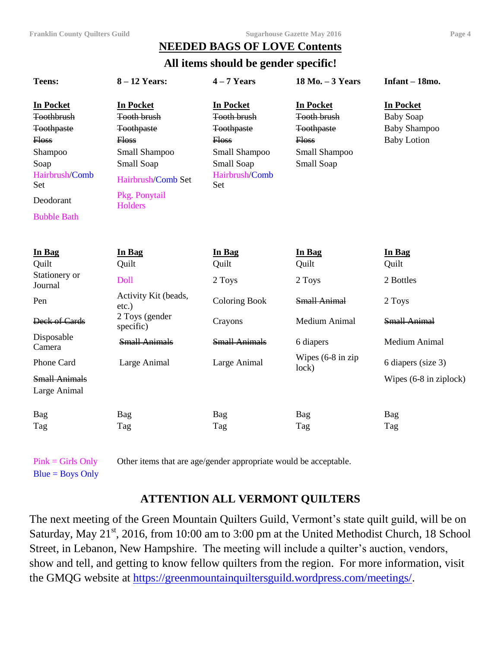# **NEEDED BAGS OF LOVE Contents**

**All items should be gender specific!**

| <b>Teens:</b>                                                                                                                                      | $8 - 12$ Years:                                                                                                                                             | $4 - 7$ Years                                                                                                                       | 18 Mo. - 3 Years                                                                                           | Infant - 18mo.                                                                    |
|----------------------------------------------------------------------------------------------------------------------------------------------------|-------------------------------------------------------------------------------------------------------------------------------------------------------------|-------------------------------------------------------------------------------------------------------------------------------------|------------------------------------------------------------------------------------------------------------|-----------------------------------------------------------------------------------|
| <b>In Pocket</b><br>Toothbrush<br><b>Toothpaste</b><br><b>Floss</b><br>Shampoo<br>Soap<br>Hairbrush/Comb<br>Set<br>Deodorant<br><b>Bubble Bath</b> | <b>In Pocket</b><br><b>Tooth brush</b><br><b>Toothpaste</b><br>Hoss<br>Small Shampoo<br>Small Soap<br>Hairbrush/Comb Set<br>Pkg. Ponytail<br><b>Holders</b> | <b>In Pocket</b><br><b>Tooth brush</b><br><b>Toothpaste</b><br><b>Floss</b><br>Small Shampoo<br>Small Soap<br>Hairbrush/Comb<br>Set | <b>In Pocket</b><br><b>Tooth brush</b><br><b>Toothpaste</b><br><b>Floss</b><br>Small Shampoo<br>Small Soap | <b>In Pocket</b><br><b>Baby Soap</b><br><b>Baby Shampoo</b><br><b>Baby Lotion</b> |
| In Bag<br>Quilt<br>Stationery or                                                                                                                   | In Bag<br>Quilt<br>Doll                                                                                                                                     | In Bag<br>Quilt<br>2 Toys                                                                                                           | In Bag<br>Quilt<br>2 Toys                                                                                  | In Bag<br>Quilt<br>2 Bottles                                                      |
| Journal<br>Pen                                                                                                                                     | Activity Kit (beads,<br>$etc.$ )<br>2 Toys (gender                                                                                                          | <b>Coloring Book</b>                                                                                                                | <b>Small Animal</b>                                                                                        | 2 Toys                                                                            |
| Deck of Cards                                                                                                                                      | specific)                                                                                                                                                   | Crayons                                                                                                                             | Medium Animal                                                                                              | <b>Small Animal</b>                                                               |
| Disposable<br>Camera                                                                                                                               | <b>Small Animals</b>                                                                                                                                        | <b>Small Animals</b>                                                                                                                | 6 diapers                                                                                                  | Medium Animal                                                                     |
| Phone Card<br><b>Small Animals</b><br>Large Animal                                                                                                 | Large Animal                                                                                                                                                | Large Animal                                                                                                                        | Wipes (6-8 in zip<br>lock)                                                                                 | 6 diapers (size 3)<br>Wipes (6-8 in ziplock)                                      |
| Bag<br>Tag                                                                                                                                         | Bag<br>Tag                                                                                                                                                  | Bag<br>Tag                                                                                                                          | Bag<br>Tag                                                                                                 | Bag<br>Tag                                                                        |

Pink = Girls Only Other items that are age/gender appropriate would be acceptable.

 $Blue = Boys Only$ 

# **ATTENTION ALL VERMONT QUILTERS**

The next meeting of the Green Mountain Quilters Guild, Vermont's state quilt guild, will be on Saturday, May 21<sup>st</sup>, 2016, from 10:00 am to 3:00 pm at the United Methodist Church, 18 School Street, in Lebanon, New Hampshire. The meeting will include a quilter's auction, vendors, show and tell, and getting to know fellow quilters from the region. For more information, visit the GMQG website at [https://greenmountainquiltersguild.wordpress.com/meetings/.](https://greenmountainquiltersguild.wordpress.com/meetings/)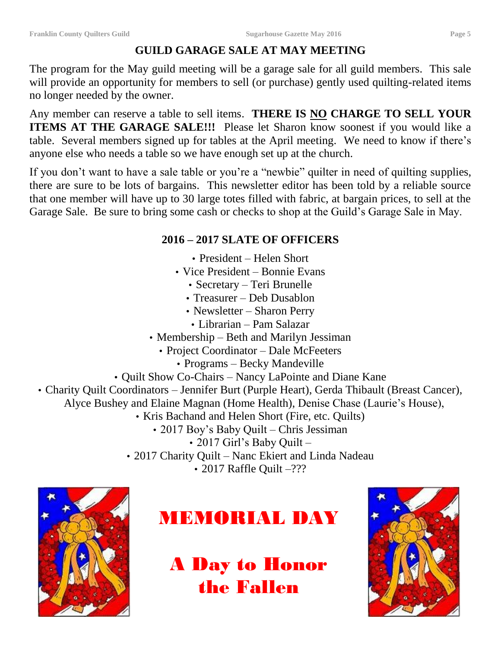# **GUILD GARAGE SALE AT MAY MEETING**

The program for the May guild meeting will be a garage sale for all guild members. This sale will provide an opportunity for members to sell (or purchase) gently used quilting-related items no longer needed by the owner.

Any member can reserve a table to sell items. **THERE IS NO CHARGE TO SELL YOUR ITEMS AT THE GARAGE SALE!!!** Please let Sharon know soonest if you would like a table. Several members signed up for tables at the April meeting. We need to know if there's anyone else who needs a table so we have enough set up at the church.

If you don't want to have a sale table or you're a "newbie" quilter in need of quilting supplies, there are sure to be lots of bargains. This newsletter editor has been told by a reliable source that one member will have up to 30 large totes filled with fabric, at bargain prices, to sell at the Garage Sale. Be sure to bring some cash or checks to shop at the Guild's Garage Sale in May.

# **2016 – 2017 SLATE OF OFFICERS**

- President Helen Short
- Vice President Bonnie Evans
	- Secretary Teri Brunelle
	- Treasurer Deb Dusablon
	- Newsletter Sharon Perry
	- Librarian Pam Salazar
- Membership Beth and Marilyn Jessiman
	- Project Coordinator Dale McFeeters
		- Programs Becky Mandeville
- Quilt Show Co-Chairs Nancy LaPointe and Diane Kane
- Charity Quilt Coordinators Jennifer Burt (Purple Heart), Gerda Thibault (Breast Cancer),
	- Alyce Bushey and Elaine Magnan (Home Health), Denise Chase (Laurie's House),
		- Kris Bachand and Helen Short (Fire, etc. Quilts)
			- 2017 Boy's Baby Quilt Chris Jessiman
				- 2017 Girl's Baby Quilt –
		- 2017 Charity Quilt Nanc Ekiert and Linda Nadeau

• 2017 Raffle Ouilt –???





# A Day to Honor the Fallen